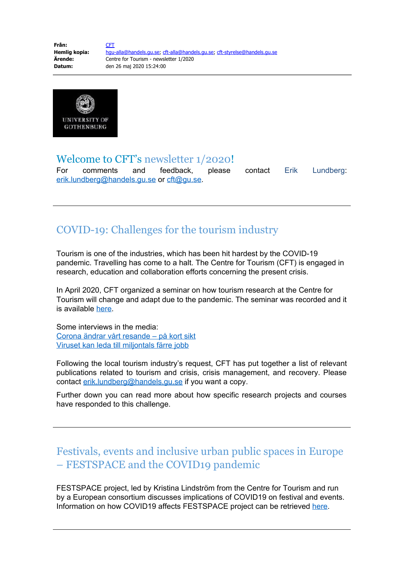**Från:** [CFT](mailto:cft@gu.se)<br>Hemlig kopia: hgu **Hemlig kopia:** [hgu-alla@handels.gu.se;](mailto:hgu-alla@handels.gu.se) [cft-alla@handels.gu.se](mailto:cft-alla@handels.gu.se); [cft-styrelse@handels.gu.se](mailto:cft-styrelse@handels.gu.se) **Ärende:** Centre for Tourism - newsletter 1/2020 **Datum:** den 26 maj 2020 15:24:00



## Welcome to CFT's newsletter 1/2020!

For comments and feedback, please contact Erik Lundberg: [erik.lundberg@handels.gu.se](mailto:erik.lundberg@handels.gu.se) or [cft@gu.se](mailto:cft@gu.se).

# COVID-19: Challenges for the tourism industry

Tourism is one of the industries, which has been hit hardest by the COVID-19 pandemic. Travelling has come to a halt. The Centre for Tourism (CFT) is engaged in research, education and collaboration efforts concerning the present crisis.

In April 2020, CFT organized a seminar on how tourism research at the Centre for Tourism will change and adapt due to the pandemic. The seminar was recorded and it is available [here.](https://play.gu.se/media/Centre+for+Tourism+seminar+on+Tourism%2C+Events+and+Covid-19%2C+20200415/0_mjjq11xh)

Some interviews in the media: [Corona ändrar vårt resande – på kort sikt](https://www.svd.se/corona-andrar-vart-resmonster--pa-kort-sikt) [Viruset kan leda till miljontals färre jobb](https://www.gp.se/ekonomi/viruset-kan-leda-till-miljontals-f%C3%A4rre-jobb-1.24795266)

Following the local tourism industry's request, CFT has put together a list of relevant publications related to tourism and crisis, crisis management, and recovery. Please contact [erik.lundberg@handels.gu.se](mailto:erik.lundberg@handels.gu.se) if you want a copy.

Further down you can read more about how specific research projects and courses have responded to this challenge.

# Festivals, events and inclusive urban public spaces in Europe – FESTSPACE and the COVID19 pandemic

FESTSPACE project, led by Kristina Lindström from the Centre for Tourism and run by a European consortium discusses implications of COVID19 on festival and events. Information on how COVID19 affects FESTSPACE project can be retrieved [here.](http://festspace.net/festivals-events-and-the-covid-19-pandemic/)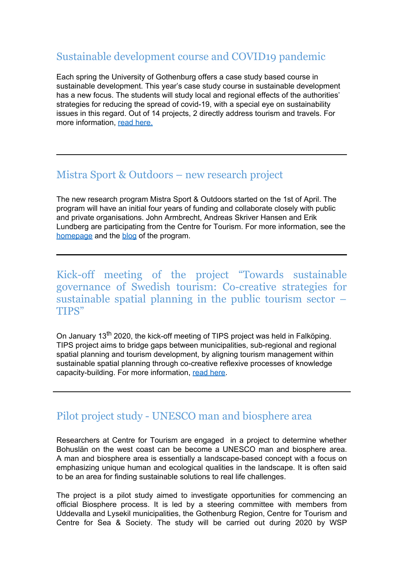## Sustainable development course and COVID19 pandemic

Each spring the University of Gothenburg offers a case study based course in sustainable development. This year's case study course in sustainable development has a new focus. The students will study local and regional effects of the authorities' strategies for reducing the spread of covid-19, with a special eye on sustainability issues in this regard. Out of 14 projects, 2 directly address tourism and travels. For more information, [read here](https://es.handels.gu.se/english/news-events/n/students-will-examine-the-local-effects-of-covid-19.cid1680516).

### Mistra Sport & Outdoors – new research project

The new research program Mistra Sport & Outdoors started on the 1st of April. The program will have an initial four years of funding and collaborate closely with public and private organisations. John Armbrecht, Andreas Skriver Hansen and Erik Lundberg are participating from the Centre for Tourism. For more information, see the [homepage](https://www.mistrasportandoutdoors.se/) and the [blog](https://mistrasportandoutdoors.wordpress.com/) of the program.

Kick-off meeting of the project "Towards sustainable governance of Swedish tourism: Co-creative strategies for sustainable spatial planning in the public tourism sector – TIPS"

On January 13<sup>th</sup> 2020, the kick-off meeting of TIPS project was held in Falköping. TIPS project aims to bridge gaps between municipalities, sub-regional and regional spatial planning and tourism development, by aligning tourism management within sustainable spatial planning through co-creative reflexive processes of knowledge capacity-building. For more information, [read here](https://cft.handels.gu.se/english/research/community-development-and-tourism-research-area/research-projects).

# Pilot project study - UNESCO man and biosphere area

Researchers at Centre for Tourism are engaged in a project to determine whether Bohuslän on the west coast can be become a UNESCO man and biosphere area. A man and biosphere area is essentially a landscape-based concept with a focus on emphasizing unique human and ecological qualities in the landscape. It is often said to be an area for finding sustainable solutions to real life challenges.

The project is a pilot study aimed to investigate opportunities for commencing an official Biosphere process. It is led by a steering committee with members from Uddevalla and Lysekil municipalities, the Gothenburg Region, Centre for Tourism and Centre for Sea & Society. The study will be carried out during 2020 by WSP